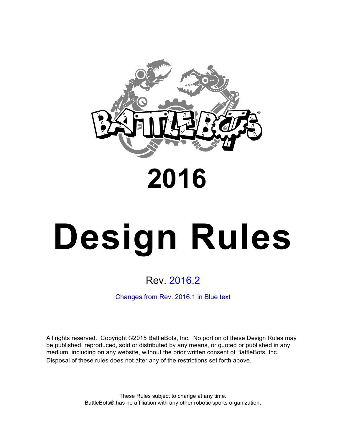

# **2016**

# **Design Rules**

# Rev. 2016.2

Changes from Rev. 2016.1 in Blue text

All rights reserved. Copyright ©2015 BattleBots, Inc. No portion of these Design Rules may be published, reproduced, sold or distributed by any means, or quoted or published in any medium, including on any website, without the prior written consent of BattleBots, Inc. Disposal of these rules does not alter any of the restrictions set forth above.

> These Rules subject to change at any time. BattleBots® has no affiliation with any other robotic sports organization.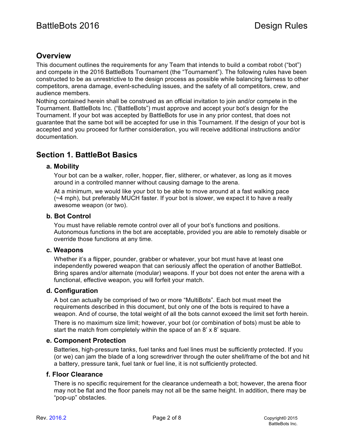# **Overview**

This document outlines the requirements for any Team that intends to build a combat robot ("bot") and compete in the 2016 BattleBots Tournament (the "Tournament"). The following rules have been constructed to be as unrestrictive to the design process as possible while balancing fairness to other competitors, arena damage, event-scheduling issues, and the safety of all competitors, crew, and audience members.

Nothing contained herein shall be construed as an official invitation to join and/or compete in the Tournament. BattleBots Inc. ("BattleBots") must approve and accept your bot's design for the Tournament. If your bot was accepted by BattleBots for use in any prior contest, that does not guarantee that the same bot will be accepted for use in this Tournament. If the design of your bot is accepted and you proceed for further consideration, you will receive additional instructions and/or documentation.

# **Section 1. BattleBot Basics**

# **a. Mobility**

Your bot can be a walker, roller, hopper, flier, slitherer, or whatever, as long as it moves around in a controlled manner without causing damage to the arena.

At a minimum, we would like your bot to be able to move around at a fast walking pace  $(\sim 4 \text{ mph})$ , but preferably MUCH faster. If your bot is slower, we expect it to have a really awesome weapon (or two).

# **b. Bot Control**

You must have reliable remote control over all of your bot's functions and positions. Autonomous functions in the bot are acceptable, provided you are able to remotely disable or override those functions at any time.

# **c. Weapons**

Whether it's a flipper, pounder, grabber or whatever, your bot must have at least one independently powered weapon that can seriously affect the operation of another BattleBot. Bring spares and/or alternate (modular) weapons. If your bot does not enter the arena with a functional, effective weapon, you will forfeit your match.

# **d. Configuration**

A bot can actually be comprised of two or more "MultiBots". Each bot must meet the requirements described in this document, but only one of the bots is required to have a weapon. And of course, the total weight of all the bots cannot exceed the limit set forth herein.

There is no maximum size limit; however, your bot (or combination of bots) must be able to start the match from completely within the space of an 8' x 8' square.

# **e. Component Protection**

Batteries, high-pressure tanks, fuel tanks and fuel lines must be sufficiently protected. If you (or we) can jam the blade of a long screwdriver through the outer shell/frame of the bot and hit a battery, pressure tank, fuel tank or fuel line, it is not sufficiently protected.

# **f. Floor Clearance**

There is no specific requirement for the clearance underneath a bot; however, the arena floor may not be flat and the floor panels may not all be the same height. In addition, there may be "pop-up" obstacles.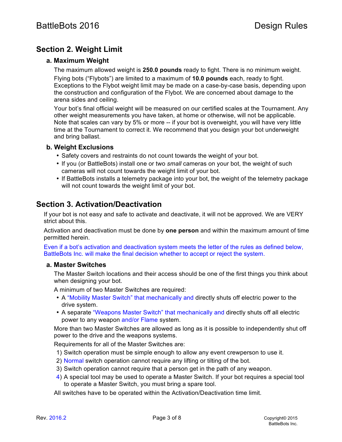# **Section 2. Weight Limit**

# **a. Maximum Weight**

The maximum allowed weight is **250.0 pounds** ready to fight. There is no minimum weight.

Flying bots ("Flybots") are limited to a maximum of **10.0 pounds** each, ready to fight. Exceptions to the Flybot weight limit may be made on a case-by-case basis, depending upon the construction and configuration of the Flybot. We are concerned about damage to the arena sides and ceiling.

Your bot's final official weight will be measured on our certified scales at the Tournament. Any other weight measurements you have taken, at home or otherwise, will not be applicable. Note that scales can vary by 5% or more -- if your bot is overweight, you will have very little time at the Tournament to correct it. We recommend that you design your bot underweight and bring ballast.

# **b. Weight Exclusions**

- Safety covers and restraints do not count towards the weight of your bot.
- If you (or BattleBots) install one or two *small* cameras on your bot, the weight of such cameras will not count towards the weight limit of your bot.
- If BattleBots installs a telemetry package into your bot, the weight of the telemetry package will not count towards the weight limit of your bot.

# **Section 3. Activation/Deactivation**

If your bot is not easy and safe to activate and deactivate, it will not be approved. We are VERY strict about this.

Activation and deactivation must be done by **one person** and within the maximum amount of time permitted herein.

Even if a bot's activation and deactivation system meets the letter of the rules as defined below, BattleBots Inc. will make the final decision whether to accept or reject the system.

# **a. Master Switches**

The Master Switch locations and their access should be one of the first things you think about when designing your bot.

A minimum of two Master Switches are required:

- A "Mobility Master Switch" that mechanically and directly shuts off electric power to the drive system.
- A separate "Weapons Master Switch" that mechanically and directly shuts off all electric power to any weapon and/or Flame system.

More than two Master Switches are allowed as long as it is possible to independently shut off power to the drive and the weapons systems.

Requirements for all of the Master Switches are:

- 1) Switch operation must be simple enough to allow any event crewperson to use it.
- 2) Normal switch operation cannot require any lifting or tilting of the bot.
- 3) Switch operation cannot require that a person get in the path of any weapon.
- 4) A special tool may be used to operate a Master Switch. If your bot requires a special tool to operate a Master Switch, you must bring a spare tool.

All switches have to be operated within the Activation/Deactivation time limit.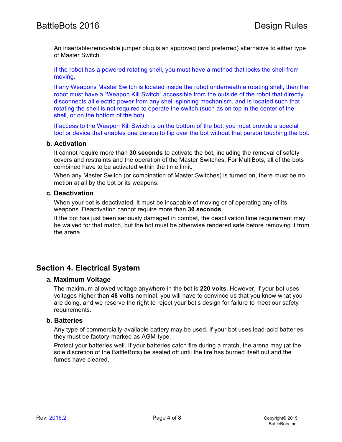An insertable/removable jumper plug is an approved (and preferred) alternative to either type of Master Switch.

If the robot has a powered rotating shell, you must have a method that locks the shell from moving.

If any Weapons Master Switch is located inside the robot underneath a rotating shell, then the robot must have a "Weapon Kill Switch" accessible from the outside of the robot that directly disconnects all electric power from any shell-spinning mechanism, and is located such that rotating the shell is not required to operate the switch (such as on top in the center of the shell, or on the bottom of the bot).

If access to the Weapon Kill Switch is on the bottom of the bot, you must provide a special tool or device that enables one person to flip over the bot without that person touching the bot.

#### **b. Activation**

It cannot require more than **30 seconds** to activate the bot, including the removal of safety covers and restraints and the operation of the Master Switches. For MultiBots, all of the bots combined have to be activated within the time limit.

When any Master Switch (or combination of Master Switches) is turned on, there must be no motion at all by the bot or its weapons.

# **c. Deactivation**

When your bot is deactivated, it must be incapable of moving or of operating any of its weapons. Deactivation cannot require more than **30 seconds**.

If the bot has just been seriously damaged in combat, the deactivation time requirement may be waived for that match, but the bot must be otherwise rendered safe before removing it from the arena.

# **Section 4. Electrical System**

## **a. Maximum Voltage**

The maximum allowed voltage anywhere in the bot is **220 volts**. However, if your bot uses voltages higher than **48 volts** nominal, you will have to convince us that you know what you are doing, and we reserve the right to reject your bot's design for failure to meet our safety requirements.

#### **b. Batteries**

Any type of commercially-available battery may be used. If your bot uses lead-acid batteries, they must be factory-marked as AGM-type.

Protect your batteries well. If your batteries catch fire during a match, the arena may (at the sole discretion of the BattleBots) be sealed off until the fire has burned itself out and the fumes have cleared.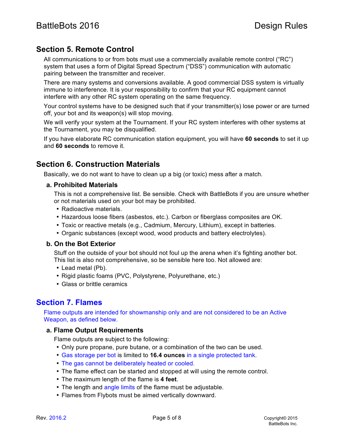# **Section 5. Remote Control**

All communications to or from bots must use a commercially available remote control ("RC") system that uses a form of Digital Spread Spectrum ("DSS") communication with automatic pairing between the transmitter and receiver.

There are many systems and conversions available. A good commercial DSS system is virtually immune to interference. It is your responsibility to confirm that your RC equipment cannot interfere with any other RC system operating on the same frequency.

Your control systems have to be designed such that if your transmitter(s) lose power or are turned off, your bot and its weapon(s) will stop moving.

We will verify your system at the Tournament. If your RC system interferes with other systems at the Tournament, you may be disqualified.

If you have elaborate RC communication station equipment, you will have **60 seconds** to set it up and **60 seconds** to remove it.

# **Section 6. Construction Materials**

Basically, we do not want to have to clean up a big (or toxic) mess after a match.

#### **a. Prohibited Materials**

This is not a comprehensive list. Be sensible. Check with BattleBots if you are unsure whether or not materials used on your bot may be prohibited.

- Radioactive materials.
- Hazardous loose fibers (asbestos, etc.). Carbon or fiberglass composites are OK.
- Toxic or reactive metals (e.g., Cadmium, Mercury, Lithium), except in batteries.
- Organic substances (except wood, wood products and battery electrolytes).

# **b. On the Bot Exterior**

Stuff on the outside of your bot should not foul up the arena when it's fighting another bot. This list is also not comprehensive, so be sensible here too. Not allowed are:

- Lead metal (Pb).
- Rigid plastic foams (PVC, Polystyrene, Polyurethane, etc.)
- Glass or brittle ceramics

# **Section 7. Flames**

Flame outputs are intended for showmanship only and are not considered to be an Active Weapon, as defined below.

# **a. Flame Output Requirements**

Flame outputs are subject to the following:

- Only pure propane, pure butane, or a combination of the two can be used.
- Gas storage per bot is limited to **16.4 ounces** in a single protected tank.
- The gas cannot be deliberately heated or cooled.
- The flame effect can be started and stopped at will using the remote control.
- The maximum length of the flame is **4 feet**.
- The length and angle limits of the flame must be adjustable.
- Flames from Flybots must be aimed vertically downward.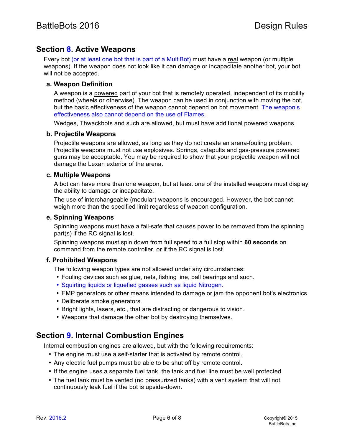# **Section 8. Active Weapons**

Every bot (or at least one bot that is part of a MultiBot) must have a real weapon (or multiple weapons). If the weapon does not look like it can damage or incapacitate another bot, your bot will not be accepted.

#### **a. Weapon Definition**

A weapon is a powered part of your bot that is remotely operated, independent of its mobility method (wheels or otherwise). The weapon can be used in conjunction with moving the bot, but the basic effectiveness of the weapon cannot depend on bot movement. The weapon's effectiveness also cannot depend on the use of Flames.

Wedges, Thwackbots and such are allowed, but must have additional powered weapons.

#### **b. Projectile Weapons**

Projectile weapons are allowed, as long as they do not create an arena-fouling problem. Projectile weapons must not use explosives. Springs, catapults and gas-pressure powered guns may be acceptable. You may be required to show that your projectile weapon will not damage the Lexan exterior of the arena.

#### **c. Multiple Weapons**

A bot can have more than one weapon, but at least one of the installed weapons must display the ability to damage or incapacitate.

The use of interchangeable (modular) weapons is encouraged. However, the bot cannot weigh more than the specified limit regardless of weapon configuration.

#### **e. Spinning Weapons**

Spinning weapons must have a fail-safe that causes power to be removed from the spinning part(s) if the RC signal is lost.

Spinning weapons must spin down from full speed to a full stop within **60 seconds** on command from the remote controller, or if the RC signal is lost.

# **f. Prohibited Weapons**

The following weapon types are not allowed under any circumstances:

- Fouling devices such as glue, nets, fishing line, ball bearings and such.
- Squirting liquids or liquefied gasses such as liquid Nitrogen.
- EMP generators or other means intended to damage or jam the opponent bot's electronics.
- Deliberate smoke generators.
- Bright lights, lasers, etc., that are distracting or dangerous to vision.
- Weapons that damage the other bot by destroying themselves.

# **Section 9. Internal Combustion Engines**

Internal combustion engines are allowed, but with the following requirements:

- The engine must use a self-starter that is activated by remote control.
- Any electric fuel pumps must be able to be shut off by remote control.
- If the engine uses a separate fuel tank, the tank and fuel line must be well protected.
- The fuel tank must be vented (no pressurized tanks) with a vent system that will not continuously leak fuel if the bot is upside-down.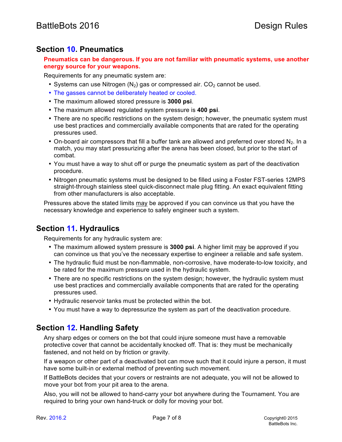# **Section 10. Pneumatics**

#### **Pneumatics can be dangerous. If you are not familiar with pneumatic systems, use another energy source for your weapons.**

Requirements for any pneumatic system are:

- Systems can use Nitrogen ( $N_2$ ) gas or compressed air.  $CO_2$  cannot be used.
- The gasses cannot be deliberately heated or cooled.
- The maximum allowed stored pressure is **3000 psi**.
- The maximum allowed regulated system pressure is **400 psi**.
- There are no specific restrictions on the system design; however, the pneumatic system must use best practices and commercially available components that are rated for the operating pressures used.
- On-board air compressors that fill a buffer tank are allowed and preferred over stored  $N<sub>2</sub>$ . In a match, you may start pressurizing after the arena has been closed, but prior to the start of combat.
- You must have a way to shut off or purge the pneumatic system as part of the deactivation procedure.
- Nitrogen pneumatic systems must be designed to be filled using a Foster FST-series 12MPS straight-through stainless steel quick-disconnect male plug fitting. An exact equivalent fitting from other manufacturers is also acceptable.

Pressures above the stated limits may be approved if you can convince us that you have the necessary knowledge and experience to safely engineer such a system.

# **Section 11. Hydraulics**

Requirements for any hydraulic system are:

- The maximum allowed system pressure is **3000 psi**. A higher limit may be approved if you can convince us that you've the necessary expertise to engineer a reliable and safe system.
- The hydraulic fluid must be non-flammable, non-corrosive, have moderate-to-low toxicity, and be rated for the maximum pressure used in the hydraulic system.
- There are no specific restrictions on the system design; however, the hydraulic system must use best practices and commercially available components that are rated for the operating pressures used.
- Hydraulic reservoir tanks must be protected within the bot.
- You must have a way to depressurize the system as part of the deactivation procedure.

# **Section 12. Handling Safety**

Any sharp edges or corners on the bot that could injure someone must have a removable protective cover that cannot be accidentally knocked off. That is: they must be mechanically fastened, and not held on by friction or gravity.

If a weapon or other part of a deactivated bot can move such that it could injure a person, it must have some built-in or external method of preventing such movement.

If BattleBots decides that your covers or restraints are not adequate, you will not be allowed to move your bot from your pit area to the arena.

Also, you will not be allowed to hand-carry your bot anywhere during the Tournament. You are required to bring your own hand-truck or dolly for moving your bot.